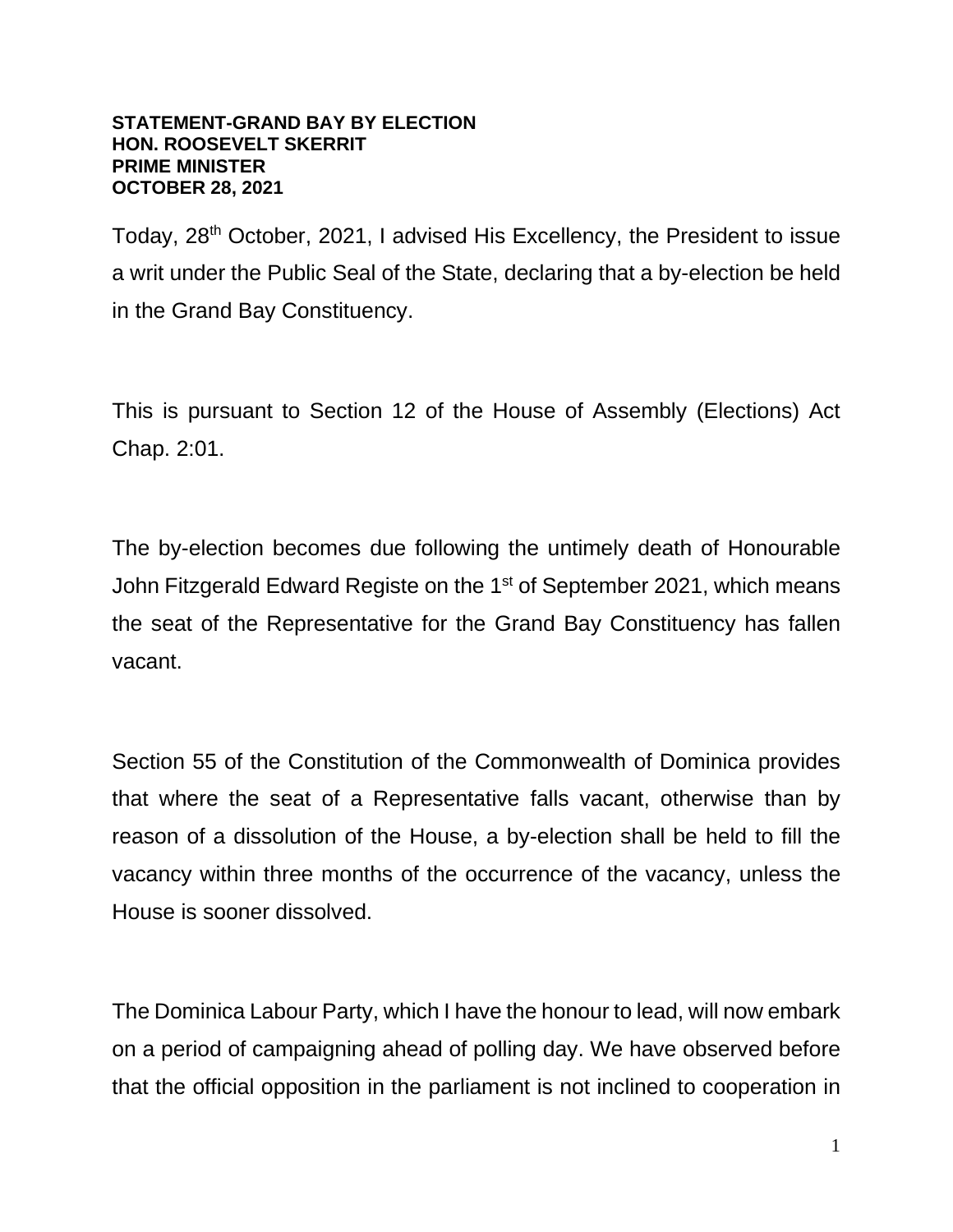## **STATEMENT-GRAND BAY BY ELECTION HON. ROOSEVELT SKERRIT PRIME MINISTER OCTOBER 28, 2021**

Today, 28<sup>th</sup> October, 2021, I advised His Excellency, the President to issue a writ under the Public Seal of the State, declaring that a by-election be held in the Grand Bay Constituency.

This is pursuant to Section 12 of the House of Assembly (Elections) Act Chap. 2:01.

The by-election becomes due following the untimely death of Honourable John Fitzgerald Edward Registe on the 1<sup>st</sup> of September 2021, which means the seat of the Representative for the Grand Bay Constituency has fallen vacant.

Section 55 of the Constitution of the Commonwealth of Dominica provides that where the seat of a Representative falls vacant, otherwise than by reason of a dissolution of the House, a by-election shall be held to fill the vacancy within three months of the occurrence of the vacancy, unless the House is sooner dissolved.

The Dominica Labour Party, which I have the honour to lead, will now embark on a period of campaigning ahead of polling day. We have observed before that the official opposition in the parliament is not inclined to cooperation in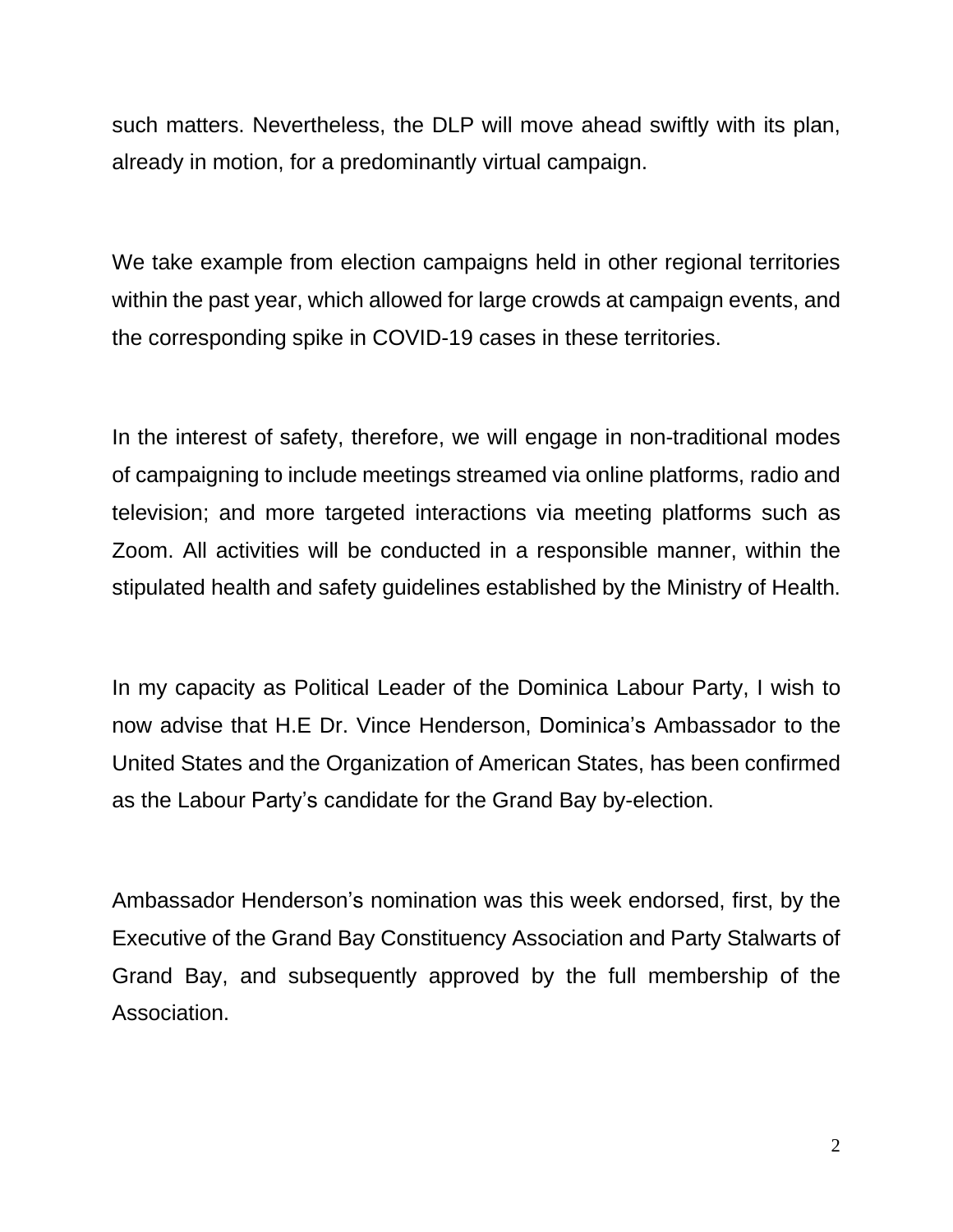such matters. Nevertheless, the DLP will move ahead swiftly with its plan, already in motion, for a predominantly virtual campaign.

We take example from election campaigns held in other regional territories within the past year, which allowed for large crowds at campaign events, and the corresponding spike in COVID-19 cases in these territories.

In the interest of safety, therefore, we will engage in non-traditional modes of campaigning to include meetings streamed via online platforms, radio and television; and more targeted interactions via meeting platforms such as Zoom. All activities will be conducted in a responsible manner, within the stipulated health and safety guidelines established by the Ministry of Health.

In my capacity as Political Leader of the Dominica Labour Party, I wish to now advise that H.E Dr. Vince Henderson, Dominica's Ambassador to the United States and the Organization of American States, has been confirmed as the Labour Party's candidate for the Grand Bay by-election.

Ambassador Henderson's nomination was this week endorsed, first, by the Executive of the Grand Bay Constituency Association and Party Stalwarts of Grand Bay, and subsequently approved by the full membership of the Association.